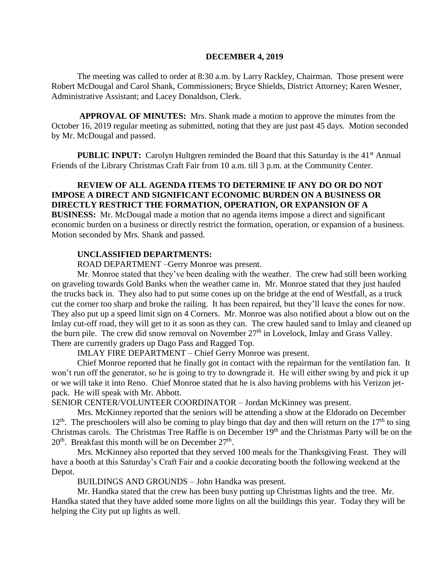### **DECEMBER 4, 2019**

The meeting was called to order at 8:30 a.m. by Larry Rackley, Chairman. Those present were Robert McDougal and Carol Shank, Commissioners; Bryce Shields, District Attorney; Karen Wesner, Administrative Assistant; and Lacey Donaldson, Clerk.

**APPROVAL OF MINUTES:** Mrs. Shank made a motion to approve the minutes from the October 16, 2019 regular meeting as submitted, noting that they are just past 45 days. Motion seconded by Mr. McDougal and passed.

**PUBLIC INPUT:** Carolyn Hultgren reminded the Board that this Saturday is the 41<sup>st</sup> Annual Friends of the Library Christmas Craft Fair from 10 a.m. till 3 p.m. at the Community Center.

# **REVIEW OF ALL AGENDA ITEMS TO DETERMINE IF ANY DO OR DO NOT IMPOSE A DIRECT AND SIGNIFICANT ECONOMIC BURDEN ON A BUSINESS OR DIRECTLY RESTRICT THE FORMATION, OPERATION, OR EXPANSION OF A BUSINESS:** Mr. McDougal made a motion that no agenda items impose a direct and significant economic burden on a business or directly restrict the formation, operation, or expansion of a business. Motion seconded by Mrs. Shank and passed.

## **UNCLASSIFIED DEPARTMENTS:**

ROAD DEPARTMENT –Gerry Monroe was present.

Mr. Monroe stated that they've been dealing with the weather. The crew had still been working on graveling towards Gold Banks when the weather came in. Mr. Monroe stated that they just hauled the trucks back in. They also had to put some cones up on the bridge at the end of Westfall, as a truck cut the corner too sharp and broke the railing. It has been repaired, but they'll leave the cones for now. They also put up a speed limit sign on 4 Corners. Mr. Monroe was also notified about a blow out on the Imlay cut-off road, they will get to it as soon as they can. The crew hauled sand to Imlay and cleaned up the burn pile. The crew did snow removal on November  $27<sup>th</sup>$  in Lovelock, Imlay and Grass Valley. There are currently graders up Dago Pass and Ragged Top.

IMLAY FIRE DEPARTMENT – Chief Gerry Monroe was present.

Chief Monroe reported that he finally got in contact with the repairman for the ventilation fan. It won't run off the generator, so he is going to try to downgrade it. He will either swing by and pick it up or we will take it into Reno. Chief Monroe stated that he is also having problems with his Verizon jetpack. He will speak with Mr. Abbott.

SENIOR CENTER/VOLUNTEER COORDINATOR – Jordan McKinney was present.

Mrs. McKinney reported that the seniors will be attending a show at the Eldorado on December  $12<sup>th</sup>$ . The preschoolers will also be coming to play bingo that day and then will return on the  $17<sup>th</sup>$  to sing Christmas carols. The Christmas Tree Raffle is on December 19th and the Christmas Party will be on the  $20<sup>th</sup>$ . Breakfast this month will be on December  $27<sup>th</sup>$ .

Mrs. McKinney also reported that they served 100 meals for the Thanksgiving Feast. They will have a booth at this Saturday's Craft Fair and a cookie decorating booth the following weekend at the Depot.

BUILDINGS AND GROUNDS – John Handka was present.

Mr. Handka stated that the crew has been busy putting up Christmas lights and the tree. Mr. Handka stated that they have added some more lights on all the buildings this year. Today they will be helping the City put up lights as well.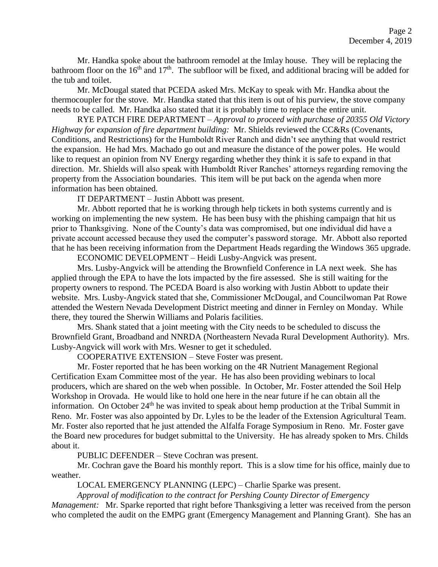Mr. Handka spoke about the bathroom remodel at the Imlay house. They will be replacing the bathroom floor on the  $16<sup>th</sup>$  and  $17<sup>th</sup>$ . The subfloor will be fixed, and additional bracing will be added for the tub and toilet.

Mr. McDougal stated that PCEDA asked Mrs. McKay to speak with Mr. Handka about the thermocoupler for the stove. Mr. Handka stated that this item is out of his purview, the stove company needs to be called. Mr. Handka also stated that it is probably time to replace the entire unit.

RYE PATCH FIRE DEPARTMENT – *Approval to proceed with purchase of 20355 Old Victory Highway for expansion of fire department building:* Mr. Shields reviewed the CC&Rs (Covenants, Conditions, and Restrictions) for the Humboldt River Ranch and didn't see anything that would restrict the expansion. He had Mrs. Machado go out and measure the distance of the power poles. He would like to request an opinion from NV Energy regarding whether they think it is safe to expand in that direction. Mr. Shields will also speak with Humboldt River Ranches' attorneys regarding removing the property from the Association boundaries. This item will be put back on the agenda when more information has been obtained.

IT DEPARTMENT – Justin Abbott was present.

Mr. Abbott reported that he is working through help tickets in both systems currently and is working on implementing the new system. He has been busy with the phishing campaign that hit us prior to Thanksgiving. None of the County's data was compromised, but one individual did have a private account accessed because they used the computer's password storage. Mr. Abbott also reported that he has been receiving information from the Department Heads regarding the Windows 365 upgrade.

ECONOMIC DEVELOPMENT – Heidi Lusby-Angvick was present.

Mrs. Lusby-Angvick will be attending the Brownfield Conference in LA next week. She has applied through the EPA to have the lots impacted by the fire assessed. She is still waiting for the property owners to respond. The PCEDA Board is also working with Justin Abbott to update their website. Mrs. Lusby-Angvick stated that she, Commissioner McDougal, and Councilwoman Pat Rowe attended the Western Nevada Development District meeting and dinner in Fernley on Monday. While there, they toured the Sherwin Williams and Polaris facilities.

Mrs. Shank stated that a joint meeting with the City needs to be scheduled to discuss the Brownfield Grant, Broadband and NNRDA (Northeastern Nevada Rural Development Authority). Mrs. Lusby-Angvick will work with Mrs. Wesner to get it scheduled.

COOPERATIVE EXTENSION – Steve Foster was present.

Mr. Foster reported that he has been working on the 4R Nutrient Management Regional Certification Exam Committee most of the year. He has also been providing webinars to local producers, which are shared on the web when possible. In October, Mr. Foster attended the Soil Help Workshop in Orovada. He would like to hold one here in the near future if he can obtain all the information. On October 24<sup>th</sup> he was invited to speak about hemp production at the Tribal Summit in Reno. Mr. Foster was also appointed by Dr. Lyles to be the leader of the Extension Agricultural Team. Mr. Foster also reported that he just attended the Alfalfa Forage Symposium in Reno. Mr. Foster gave the Board new procedures for budget submittal to the University. He has already spoken to Mrs. Childs about it.

PUBLIC DEFENDER – Steve Cochran was present.

Mr. Cochran gave the Board his monthly report. This is a slow time for his office, mainly due to weather.

LOCAL EMERGENCY PLANNING (LEPC) – Charlie Sparke was present.

*Approval of modification to the contract for Pershing County Director of Emergency* 

*Management:* Mr. Sparke reported that right before Thanksgiving a letter was received from the person who completed the audit on the EMPG grant (Emergency Management and Planning Grant). She has an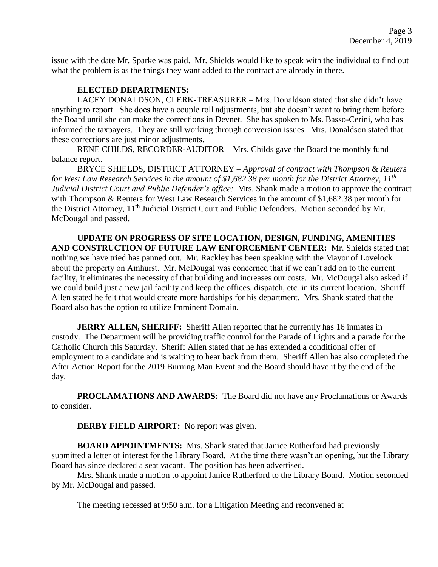issue with the date Mr. Sparke was paid. Mr. Shields would like to speak with the individual to find out what the problem is as the things they want added to the contract are already in there.

## **ELECTED DEPARTMENTS:**

LACEY DONALDSON, CLERK-TREASURER – Mrs. Donaldson stated that she didn't have anything to report. She does have a couple roll adjustments, but she doesn't want to bring them before the Board until she can make the corrections in Devnet. She has spoken to Ms. Basso-Cerini, who has informed the taxpayers. They are still working through conversion issues. Mrs. Donaldson stated that these corrections are just minor adjustments.

RENE CHILDS, RECORDER-AUDITOR – Mrs. Childs gave the Board the monthly fund balance report.

BRYCE SHIELDS, DISTRICT ATTORNEY – *Approval of contract with Thompson & Reuters for West Law Research Services in the amount of \$1,682.38 per month for the District Attorney, 11th Judicial District Court and Public Defender's office:* Mrs. Shank made a motion to approve the contract with Thompson & Reuters for West Law Research Services in the amount of \$1,682.38 per month for the District Attorney, 11<sup>th</sup> Judicial District Court and Public Defenders. Motion seconded by Mr. McDougal and passed.

**UPDATE ON PROGRESS OF SITE LOCATION, DESIGN, FUNDING, AMENITIES AND CONSTRUCTION OF FUTURE LAW ENFORCEMENT CENTER:** Mr. Shields stated that nothing we have tried has panned out. Mr. Rackley has been speaking with the Mayor of Lovelock about the property on Amhurst. Mr. McDougal was concerned that if we can't add on to the current facility, it eliminates the necessity of that building and increases our costs. Mr. McDougal also asked if we could build just a new jail facility and keep the offices, dispatch, etc. in its current location. Sheriff Allen stated he felt that would create more hardships for his department. Mrs. Shank stated that the Board also has the option to utilize Imminent Domain.

**JERRY ALLEN, SHERIFF:** Sheriff Allen reported that he currently has 16 inmates in custody. The Department will be providing traffic control for the Parade of Lights and a parade for the Catholic Church this Saturday. Sheriff Allen stated that he has extended a conditional offer of employment to a candidate and is waiting to hear back from them. Sheriff Allen has also completed the After Action Report for the 2019 Burning Man Event and the Board should have it by the end of the day.

**PROCLAMATIONS AND AWARDS:** The Board did not have any Proclamations or Awards to consider.

**DERBY FIELD AIRPORT:** No report was given.

**BOARD APPOINTMENTS:** Mrs. Shank stated that Janice Rutherford had previously submitted a letter of interest for the Library Board. At the time there wasn't an opening, but the Library Board has since declared a seat vacant. The position has been advertised.

Mrs. Shank made a motion to appoint Janice Rutherford to the Library Board. Motion seconded by Mr. McDougal and passed.

The meeting recessed at 9:50 a.m. for a Litigation Meeting and reconvened at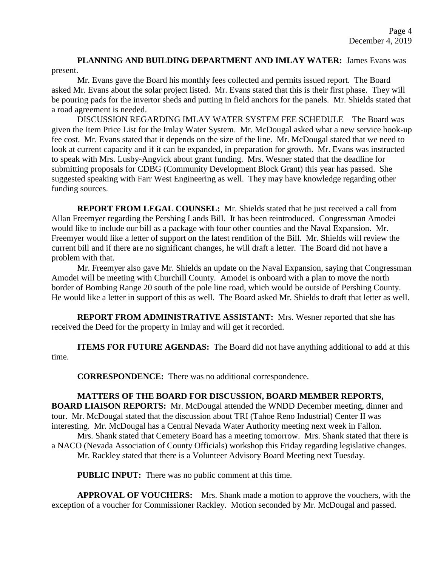**PLANNING AND BUILDING DEPARTMENT AND IMLAY WATER:** James Evans was present.

Mr. Evans gave the Board his monthly fees collected and permits issued report. The Board asked Mr. Evans about the solar project listed. Mr. Evans stated that this is their first phase. They will be pouring pads for the invertor sheds and putting in field anchors for the panels. Mr. Shields stated that a road agreement is needed.

DISCUSSION REGARDING IMLAY WATER SYSTEM FEE SCHEDULE – The Board was given the Item Price List for the Imlay Water System. Mr. McDougal asked what a new service hook-up fee cost. Mr. Evans stated that it depends on the size of the line. Mr. McDougal stated that we need to look at current capacity and if it can be expanded, in preparation for growth. Mr. Evans was instructed to speak with Mrs. Lusby-Angvick about grant funding. Mrs. Wesner stated that the deadline for submitting proposals for CDBG (Community Development Block Grant) this year has passed. She suggested speaking with Farr West Engineering as well. They may have knowledge regarding other funding sources.

**REPORT FROM LEGAL COUNSEL:** Mr. Shields stated that he just received a call from Allan Freemyer regarding the Pershing Lands Bill. It has been reintroduced. Congressman Amodei would like to include our bill as a package with four other counties and the Naval Expansion. Mr. Freemyer would like a letter of support on the latest rendition of the Bill. Mr. Shields will review the current bill and if there are no significant changes, he will draft a letter. The Board did not have a problem with that.

Mr. Freemyer also gave Mr. Shields an update on the Naval Expansion, saying that Congressman Amodei will be meeting with Churchill County. Amodei is onboard with a plan to move the north border of Bombing Range 20 south of the pole line road, which would be outside of Pershing County. He would like a letter in support of this as well. The Board asked Mr. Shields to draft that letter as well.

**REPORT FROM ADMINISTRATIVE ASSISTANT:** Mrs. Wesner reported that she has received the Deed for the property in Imlay and will get it recorded.

**ITEMS FOR FUTURE AGENDAS:** The Board did not have anything additional to add at this time.

**CORRESPONDENCE:** There was no additional correspondence.

## **MATTERS OF THE BOARD FOR DISCUSSION, BOARD MEMBER REPORTS,**

**BOARD LIAISON REPORTS:** Mr. McDougal attended the WNDD December meeting, dinner and tour. Mr. McDougal stated that the discussion about TRI (Tahoe Reno Industrial) Center II was interesting. Mr. McDougal has a Central Nevada Water Authority meeting next week in Fallon.

Mrs. Shank stated that Cemetery Board has a meeting tomorrow. Mrs. Shank stated that there is a NACO (Nevada Association of County Officials) workshop this Friday regarding legislative changes. Mr. Rackley stated that there is a Volunteer Advisory Board Meeting next Tuesday.

**PUBLIC INPUT:** There was no public comment at this time.

**APPROVAL OF VOUCHERS:** Mrs. Shank made a motion to approve the vouchers, with the exception of a voucher for Commissioner Rackley. Motion seconded by Mr. McDougal and passed.